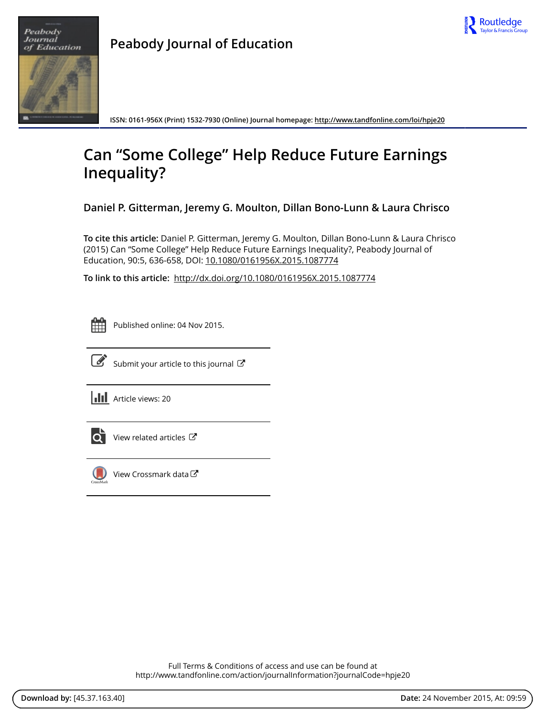



Peabody

ISSN: 0161-956X (Print) 1532-7930 (Online) Journal homepage: <http://www.tandfonline.com/loi/hpje20>

# Can "Some College" Help Reduce Future Earnings Inequality?

Daniel P. Gitterman, Jeremy G. Moulton, Dillan Bono-Lunn & Laura Chrisco

To cite this article: Daniel P. Gitterman, Jeremy G. Moulton, Dillan Bono-Lunn & Laura Chrisco (2015) Can "Some College" Help Reduce Future Earnings Inequality?, Peabody Journal of Education, 90:5, 636-658, DOI: [10.1080/0161956X.2015.1087774](http://www.tandfonline.com/action/showCitFormats?doi=10.1080/0161956X.2015.1087774)

To link to this article: <http://dx.doi.org/10.1080/0161956X.2015.1087774>



Published online: 04 Nov 2015.



 $\overrightarrow{S}$  [Submit your article to this journal](http://www.tandfonline.com/action/authorSubmission?journalCode=hpje20&page=instructions)  $\overrightarrow{S}$ 

**III** Article views: 20



 $\bullet$  [View related articles](http://www.tandfonline.com/doi/mlt/10.1080/0161956X.2015.1087774)  $\sigma$ 



[View Crossmark data](http://crossmark.crossref.org/dialog/?doi=10.1080/0161956X.2015.1087774&domain=pdf&date_stamp=2015-11-04)<sup>で</sup>

Full Terms & Conditions of access and use can be found at <http://www.tandfonline.com/action/journalInformation?journalCode=hpje20>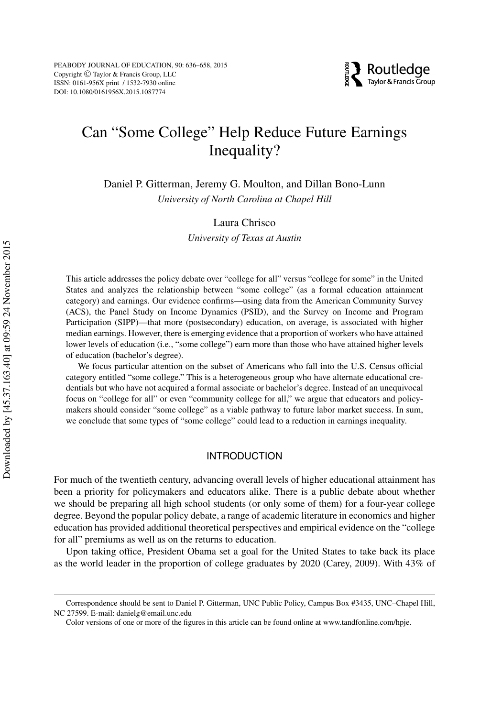

# Can "Some College" Help Reduce Future Earnings Inequality?

Daniel P. Gitterman, Jeremy G. Moulton, and Dillan Bono-Lunn *University of North Carolina at Chapel Hill*

Laura Chrisco

*University of Texas at Austin*

This article addresses the policy debate over "college for all" versus "college for some" in the United States and analyzes the relationship between "some college" (as a formal education attainment category) and earnings. Our evidence confirms—using data from the American Community Survey (ACS), the Panel Study on Income Dynamics (PSID), and the Survey on Income and Program Participation (SIPP)—that more (postsecondary) education, on average, is associated with higher median earnings. However, there is emerging evidence that a proportion of workers who have attained lower levels of education (i.e., "some college") earn more than those who have attained higher levels of education (bachelor's degree).

We focus particular attention on the subset of Americans who fall into the U.S. Census official category entitled "some college." This is a heterogeneous group who have alternate educational credentials but who have not acquired a formal associate or bachelor's degree. Instead of an unequivocal focus on "college for all" or even "community college for all," we argue that educators and policymakers should consider "some college" as a viable pathway to future labor market success. In sum, we conclude that some types of "some college" could lead to a reduction in earnings inequality.

#### INTRODUCTION

For much of the twentieth century, advancing overall levels of higher educational attainment has been a priority for policymakers and educators alike. There is a public debate about whether we should be preparing all high school students (or only some of them) for a four-year college degree. Beyond the popular policy debate, a range of academic literature in economics and higher education has provided additional theoretical perspectives and empirical evidence on the "college for all" premiums as well as on the returns to education.

Upon taking office, President Obama set a goal for the United States to take back its place as the world leader in the proportion of college graduates by 2020 (Carey, 2009). With 43% of

Correspondence should be sent to Daniel P. Gitterman, UNC Public Policy, Campus Box #3435, UNC–Chapel Hill, NC 27599. E-mail: danielg@email.unc.edu

Color versions of one or more of the figures in this article can be found online at www.tandfonline.com/hpje.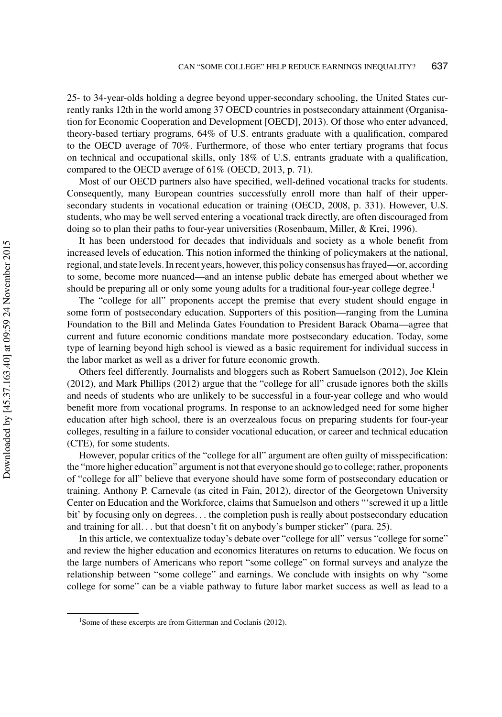25- to 34-year-olds holding a degree beyond upper-secondary schooling, the United States currently ranks 12th in the world among 37 OECD countries in postsecondary attainment (Organisation for Economic Cooperation and Development [OECD], 2013). Of those who enter advanced, theory-based tertiary programs, 64% of U.S. entrants graduate with a qualification, compared to the OECD average of 70%. Furthermore, of those who enter tertiary programs that focus on technical and occupational skills, only 18% of U.S. entrants graduate with a qualification, compared to the OECD average of 61% (OECD, 2013, p. 71).

Most of our OECD partners also have specified, well-defined vocational tracks for students. Consequently, many European countries successfully enroll more than half of their uppersecondary students in vocational education or training (OECD, 2008, p. 331). However, U.S. students, who may be well served entering a vocational track directly, are often discouraged from doing so to plan their paths to four-year universities (Rosenbaum, Miller, & Krei, 1996).

It has been understood for decades that individuals and society as a whole benefit from increased levels of education. This notion informed the thinking of policymakers at the national, regional, and state levels. In recent years, however, this policy consensus has frayed—or, according to some, become more nuanced—and an intense public debate has emerged about whether we should be preparing all or only some young adults for a traditional four-year college degree.<sup>1</sup>

The "college for all" proponents accept the premise that every student should engage in some form of postsecondary education. Supporters of this position—ranging from the Lumina Foundation to the Bill and Melinda Gates Foundation to President Barack Obama—agree that current and future economic conditions mandate more postsecondary education. Today, some type of learning beyond high school is viewed as a basic requirement for individual success in the labor market as well as a driver for future economic growth.

Others feel differently. Journalists and bloggers such as Robert Samuelson (2012), Joe Klein (2012), and Mark Phillips (2012) argue that the "college for all" crusade ignores both the skills and needs of students who are unlikely to be successful in a four-year college and who would benefit more from vocational programs. In response to an acknowledged need for some higher education after high school, there is an overzealous focus on preparing students for four-year colleges, resulting in a failure to consider vocational education, or career and technical education (CTE), for some students.

However, popular critics of the "college for all" argument are often guilty of misspecification: the "more higher education" argument is not that everyone should go to college; rather, proponents of "college for all" believe that everyone should have some form of postsecondary education or training. Anthony P. Carnevale (as cited in Fain, 2012), director of the Georgetown University Center on Education and the Workforce, claims that Samuelson and others "'screwed it up a little bit' by focusing only on degrees... the completion push is really about postsecondary education and training for all... but that doesn't fit on anybody's bumper sticker" (para. 25).

In this article, we contextualize today's debate over "college for all" versus "college for some" and review the higher education and economics literatures on returns to education. We focus on the large numbers of Americans who report "some college" on formal surveys and analyze the relationship between "some college" and earnings. We conclude with insights on why "some college for some" can be a viable pathway to future labor market success as well as lead to a

<sup>&</sup>lt;sup>1</sup>Some of these excerpts are from Gitterman and Coclanis (2012).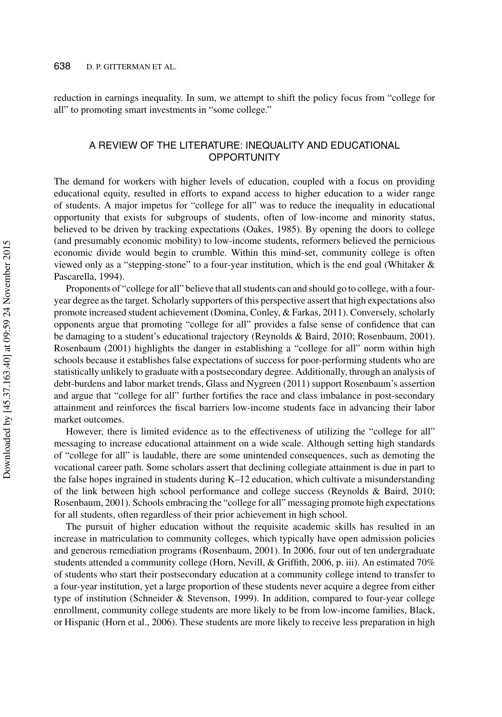reduction in earnings inequality. In sum, we attempt to shift the policy focus from "college for all" to promoting smart investments in "some college."

#### A REVIEW OF THE LITERATURE: INEQUALITY AND EDUCATIONAL **OPPORTUNITY**

The demand for workers with higher levels of education, coupled with a focus on providing educational equity, resulted in efforts to expand access to higher education to a wider range of students. A major impetus for "college for all" was to reduce the inequality in educational opportunity that exists for subgroups of students, often of low-income and minority status, believed to be driven by tracking expectations (Oakes, 1985). By opening the doors to college (and presumably economic mobility) to low-income students, reformers believed the pernicious economic divide would begin to crumble. Within this mind-set, community college is often viewed only as a "stepping-stone" to a four-year institution, which is the end goal (Whitaker  $\&$ Pascarella, 1994).

Proponents of "college for all" believe that all students can and should go to college, with a fouryear degree as the target. Scholarly supporters of this perspective assert that high expectations also promote increased student achievement (Domina, Conley, & Farkas, 2011). Conversely, scholarly opponents argue that promoting "college for all" provides a false sense of confidence that can be damaging to a student's educational trajectory (Reynolds & Baird, 2010; Rosenbaum, 2001). Rosenbaum (2001) highlights the danger in establishing a "college for all" norm within high schools because it establishes false expectations of success for poor-performing students who are statistically unlikely to graduate with a postsecondary degree. Additionally, through an analysis of debt-burdens and labor market trends, Glass and Nygreen (2011) support Rosenbaum's assertion and argue that "college for all" further fortifies the race and class imbalance in post-secondary attainment and reinforces the fiscal barriers low-income students face in advancing their labor market outcomes.

However, there is limited evidence as to the effectiveness of utilizing the "college for all" messaging to increase educational attainment on a wide scale. Although setting high standards of "college for all" is laudable, there are some unintended consequences, such as demoting the vocational career path. Some scholars assert that declining collegiate attainment is due in part to the false hopes ingrained in students during K–12 education, which cultivate a misunderstanding of the link between high school performance and college success (Reynolds & Baird, 2010; Rosenbaum, 2001). Schools embracing the "college for all" messaging promote high expectations for all students, often regardless of their prior achievement in high school.

The pursuit of higher education without the requisite academic skills has resulted in an increase in matriculation to community colleges, which typically have open admission policies and generous remediation programs (Rosenbaum, 2001). In 2006, four out of ten undergraduate students attended a community college (Horn, Nevill, & Griffith, 2006, p. iii). An estimated 70% of students who start their postsecondary education at a community college intend to transfer to a four-year institution, yet a large proportion of these students never acquire a degree from either type of institution (Schneider & Stevenson, 1999). In addition, compared to four-year college enrollment, community college students are more likely to be from low-income families, Black, or Hispanic (Horn et al., 2006). These students are more likely to receive less preparation in high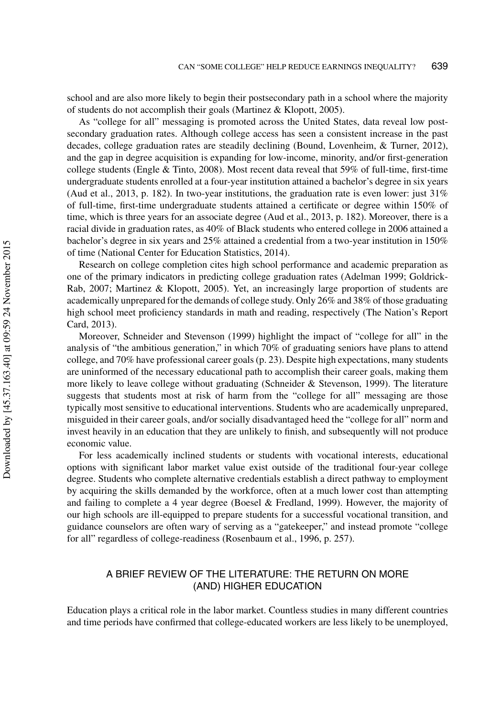school and are also more likely to begin their postsecondary path in a school where the majority of students do not accomplish their goals (Martinez & Klopott, 2005).

As "college for all" messaging is promoted across the United States, data reveal low postsecondary graduation rates. Although college access has seen a consistent increase in the past decades, college graduation rates are steadily declining (Bound, Lovenheim, & Turner, 2012), and the gap in degree acquisition is expanding for low-income, minority, and/or first-generation college students (Engle  $&$  Tinto, 2008). Most recent data reveal that 59% of full-time, first-time undergraduate students enrolled at a four-year institution attained a bachelor's degree in six years (Aud et al., 2013, p. 182). In two-year institutions, the graduation rate is even lower: just  $31\%$ of full-time, first-time undergraduate students attained a certificate or degree within 150% of time, which is three years for an associate degree (Aud et al., 2013, p. 182). Moreover, there is a racial divide in graduation rates, as 40% of Black students who entered college in 2006 attained a bachelor's degree in six years and 25% attained a credential from a two-year institution in 150% of time (National Center for Education Statistics, 2014).

Research on college completion cites high school performance and academic preparation as one of the primary indicators in predicting college graduation rates (Adelman 1999; Goldrick-Rab, 2007; Martinez & Klopott, 2005). Yet, an increasingly large proportion of students are academically unprepared for the demands of college study. Only 26% and 38% of those graduating high school meet proficiency standards in math and reading, respectively (The Nation's Report Card, 2013).

Moreover, Schneider and Stevenson (1999) highlight the impact of "college for all" in the analysis of "the ambitious generation," in which 70% of graduating seniors have plans to attend college, and 70% have professional career goals (p. 23). Despite high expectations, many students are uninformed of the necessary educational path to accomplish their career goals, making them more likely to leave college without graduating (Schneider & Stevenson, 1999). The literature suggests that students most at risk of harm from the "college for all" messaging are those typically most sensitive to educational interventions. Students who are academically unprepared, misguided in their career goals, and/or socially disadvantaged heed the "college for all" norm and invest heavily in an education that they are unlikely to finish, and subsequently will not produce economic value.

For less academically inclined students or students with vocational interests, educational options with significant labor market value exist outside of the traditional four-year college degree. Students who complete alternative credentials establish a direct pathway to employment by acquiring the skills demanded by the workforce, often at a much lower cost than attempting and failing to complete a 4 year degree (Boesel & Fredland, 1999). However, the majority of our high schools are ill-equipped to prepare students for a successful vocational transition, and guidance counselors are often wary of serving as a "gatekeeper," and instead promote "college for all" regardless of college-readiness (Rosenbaum et al., 1996, p. 257).

# A BRIEF REVIEW OF THE LITERATURE: THE RETURN ON MORE (AND) HIGHER EDUCATION

Education plays a critical role in the labor market. Countless studies in many different countries and time periods have confirmed that college-educated workers are less likely to be unemployed,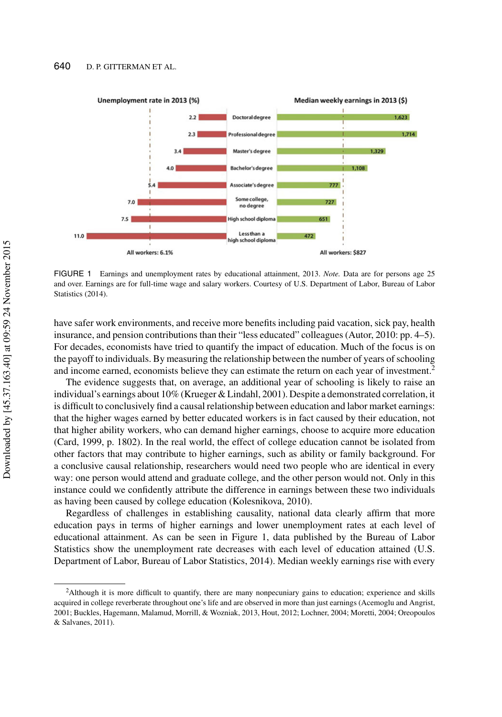

FIGURE 1 Earnings and unemployment rates by educational attainment, 2013. *Note.* Data are for persons age 25 and over. Earnings are for full-time wage and salary workers. Courtesy of U.S. Department of Labor, Bureau of Labor Statistics (2014).

have safer work environments, and receive more benefits including paid vacation, sick pay, health insurance, and pension contributions than their "less educated" colleagues (Autor, 2010: pp. 4–5). For decades, economists have tried to quantify the impact of education. Much of the focus is on the payoff to individuals. By measuring the relationship between the number of years of schooling and income earned, economists believe they can estimate the return on each year of investment.<sup>2</sup>

The evidence suggests that, on average, an additional year of schooling is likely to raise an individual's earnings about 10% (Krueger & Lindahl, 2001). Despite a demonstrated correlation, it is difficult to conclusively find a causal relationship between education and labor market earnings: that the higher wages earned by better educated workers is in fact caused by their education, not that higher ability workers, who can demand higher earnings, choose to acquire more education (Card, 1999, p. 1802). In the real world, the effect of college education cannot be isolated from other factors that may contribute to higher earnings, such as ability or family background. For a conclusive causal relationship, researchers would need two people who are identical in every way: one person would attend and graduate college, and the other person would not. Only in this instance could we confidently attribute the difference in earnings between these two individuals as having been caused by college education (Kolesnikova, 2010).

Regardless of challenges in establishing causality, national data clearly affirm that more education pays in terms of higher earnings and lower unemployment rates at each level of educational attainment. As can be seen in Figure 1, data published by the Bureau of Labor Statistics show the unemployment rate decreases with each level of education attained (U.S. Department of Labor, Bureau of Labor Statistics, 2014). Median weekly earnings rise with every

<sup>&</sup>lt;sup>2</sup>Although it is more difficult to quantify, there are many nonpecuniary gains to education; experience and skills acquired in college reverberate throughout one's life and are observed in more than just earnings (Acemoglu and Angrist, 2001; Buckles, Hagemann, Malamud, Morrill, & Wozniak, 2013, Hout, 2012; Lochner, 2004; Moretti, 2004; Oreopoulos & Salvanes, 2011).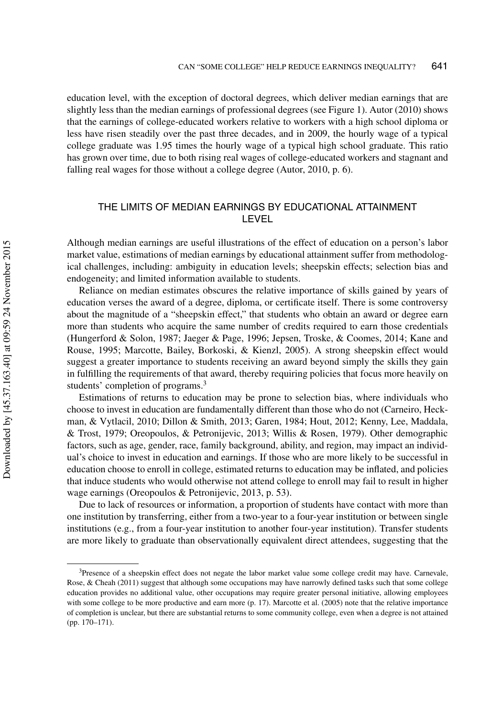education level, with the exception of doctoral degrees, which deliver median earnings that are slightly less than the median earnings of professional degrees (see Figure 1). Autor (2010) shows that the earnings of college-educated workers relative to workers with a high school diploma or less have risen steadily over the past three decades, and in 2009, the hourly wage of a typical college graduate was 1.95 times the hourly wage of a typical high school graduate. This ratio has grown over time, due to both rising real wages of college-educated workers and stagnant and falling real wages for those without a college degree (Autor, 2010, p. 6).

# THE LIMITS OF MEDIAN EARNINGS BY EDUCATIONAL ATTAINMENT LEVEL

Although median earnings are useful illustrations of the effect of education on a person's labor market value, estimations of median earnings by educational attainment suffer from methodological challenges, including: ambiguity in education levels; sheepskin effects; selection bias and endogeneity; and limited information available to students.

Reliance on median estimates obscures the relative importance of skills gained by years of education verses the award of a degree, diploma, or certificate itself. There is some controversy about the magnitude of a "sheepskin effect," that students who obtain an award or degree earn more than students who acquire the same number of credits required to earn those credentials (Hungerford & Solon, 1987; Jaeger & Page, 1996; Jepsen, Troske, & Coomes, 2014; Kane and Rouse, 1995; Marcotte, Bailey, Borkoski, & Kienzl, 2005). A strong sheepskin effect would suggest a greater importance to students receiving an award beyond simply the skills they gain in fulfilling the requirements of that award, thereby requiring policies that focus more heavily on students' completion of programs.<sup>3</sup>

Estimations of returns to education may be prone to selection bias, where individuals who choose to invest in education are fundamentally different than those who do not (Carneiro, Heckman, & Vytlacil, 2010; Dillon & Smith, 2013; Garen, 1984; Hout, 2012; Kenny, Lee, Maddala, & Trost, 1979; Oreopoulos, & Petronijevic, 2013; Willis & Rosen, 1979). Other demographic factors, such as age, gender, race, family background, ability, and region, may impact an individual's choice to invest in education and earnings. If those who are more likely to be successful in education choose to enroll in college, estimated returns to education may be inflated, and policies that induce students who would otherwise not attend college to enroll may fail to result in higher wage earnings (Oreopoulos & Petronijevic, 2013, p. 53).

Due to lack of resources or information, a proportion of students have contact with more than one institution by transferring, either from a two-year to a four-year institution or between single institutions (e.g., from a four-year institution to another four-year institution). Transfer students are more likely to graduate than observationally equivalent direct attendees, suggesting that the

<sup>&</sup>lt;sup>3</sup>Presence of a sheepskin effect does not negate the labor market value some college credit may have. Carnevale, Rose, & Cheah (2011) suggest that although some occupations may have narrowly defined tasks such that some college education provides no additional value, other occupations may require greater personal initiative, allowing employees with some college to be more productive and earn more (p. 17). Marcotte et al. (2005) note that the relative importance of completion is unclear, but there are substantial returns to some community college, even when a degree is not attained (pp. 170–171).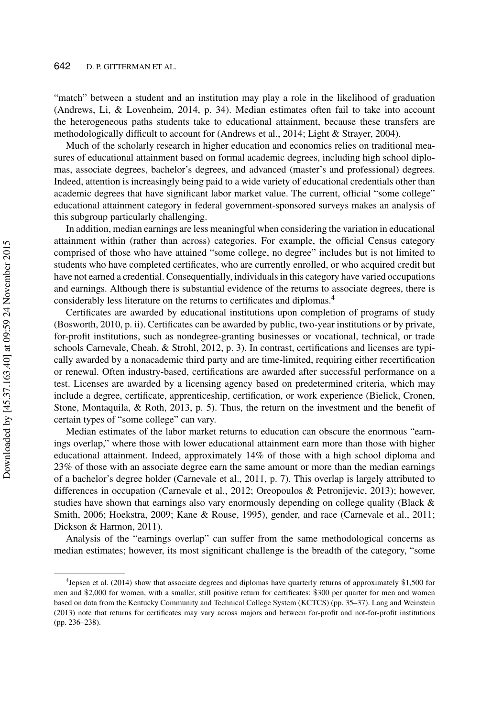"match" between a student and an institution may play a role in the likelihood of graduation (Andrews, Li, & Lovenheim, 2014, p. 34). Median estimates often fail to take into account the heterogeneous paths students take to educational attainment, because these transfers are methodologically difficult to account for (Andrews et al., 2014; Light & Strayer, 2004).

Much of the scholarly research in higher education and economics relies on traditional measures of educational attainment based on formal academic degrees, including high school diplomas, associate degrees, bachelor's degrees, and advanced (master's and professional) degrees. Indeed, attention is increasingly being paid to a wide variety of educational credentials other than academic degrees that have significant labor market value. The current, official "some college" educational attainment category in federal government-sponsored surveys makes an analysis of this subgroup particularly challenging.

In addition, median earnings are less meaningful when considering the variation in educational attainment within (rather than across) categories. For example, the official Census category comprised of those who have attained "some college, no degree" includes but is not limited to students who have completed certificates, who are currently enrolled, or who acquired credit but have not earned a credential. Consequentially, individuals in this category have varied occupations and earnings. Although there is substantial evidence of the returns to associate degrees, there is considerably less literature on the returns to certificates and diplomas.4

Certificates are awarded by educational institutions upon completion of programs of study (Bosworth, 2010, p. ii). Certificates can be awarded by public, two-year institutions or by private, for-profit institutions, such as nondegree-granting businesses or vocational, technical, or trade schools Carnevale, Cheah, & Strohl, 2012, p. 3). In contrast, certifications and licenses are typically awarded by a nonacademic third party and are time-limited, requiring either recertification or renewal. Often industry-based, certifications are awarded after successful performance on a test. Licenses are awarded by a licensing agency based on predetermined criteria, which may include a degree, certificate, apprenticeship, certification, or work experience (Bielick, Cronen, Stone, Montaquila, & Roth, 2013, p. 5). Thus, the return on the investment and the benefit of certain types of "some college" can vary.

Median estimates of the labor market returns to education can obscure the enormous "earnings overlap," where those with lower educational attainment earn more than those with higher educational attainment. Indeed, approximately 14% of those with a high school diploma and 23% of those with an associate degree earn the same amount or more than the median earnings of a bachelor's degree holder (Carnevale et al., 2011, p. 7). This overlap is largely attributed to differences in occupation (Carnevale et al., 2012; Oreopoulos & Petronijevic, 2013); however, studies have shown that earnings also vary enormously depending on college quality (Black & Smith, 2006; Hoekstra, 2009; Kane & Rouse, 1995), gender, and race (Carnevale et al., 2011; Dickson & Harmon, 2011).

Analysis of the "earnings overlap" can suffer from the same methodological concerns as median estimates; however, its most significant challenge is the breadth of the category, "some

<sup>&</sup>lt;sup>4</sup>Jepsen et al. (2014) show that associate degrees and diplomas have quarterly returns of approximately \$1,500 for men and \$2,000 for women, with a smaller, still positive return for certificates: \$300 per quarter for men and women based on data from the Kentucky Community and Technical College System (KCTCS) (pp. 35–37). Lang and Weinstein (2013) note that returns for certificates may vary across majors and between for-profit and not-for-profit institutions (pp. 236–238).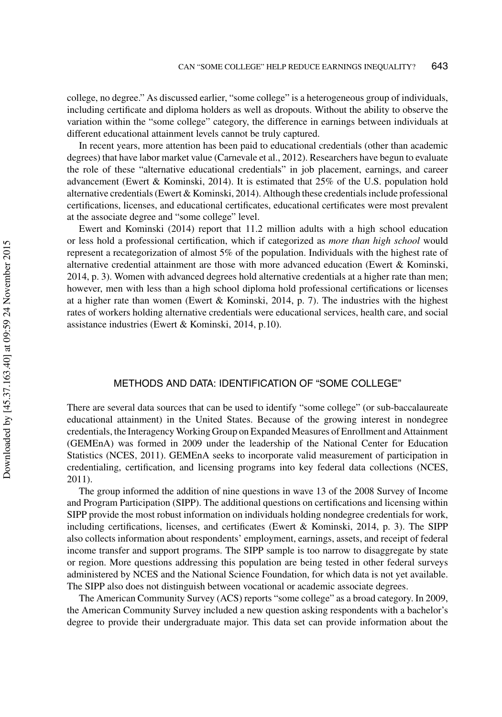college, no degree." As discussed earlier, "some college" is a heterogeneous group of individuals, including certificate and diploma holders as well as dropouts. Without the ability to observe the variation within the "some college" category, the difference in earnings between individuals at different educational attainment levels cannot be truly captured.

In recent years, more attention has been paid to educational credentials (other than academic degrees) that have labor market value (Carnevale et al., 2012). Researchers have begun to evaluate the role of these "alternative educational credentials" in job placement, earnings, and career advancement (Ewert & Kominski, 2014). It is estimated that 25% of the U.S. population hold alternative credentials (Ewert & Kominski, 2014). Although these credentials include professional certifications, licenses, and educational certificates, educational certificates were most prevalent at the associate degree and "some college" level.

Ewert and Kominski (2014) report that 11.2 million adults with a high school education or less hold a professional certification, which if categorized as *more than high school* would represent a recategorization of almost 5% of the population. Individuals with the highest rate of alternative credential attainment are those with more advanced education (Ewert & Kominski, 2014, p. 3). Women with advanced degrees hold alternative credentials at a higher rate than men; however, men with less than a high school diploma hold professional certifications or licenses at a higher rate than women (Ewert & Kominski, 2014, p. 7). The industries with the highest rates of workers holding alternative credentials were educational services, health care, and social assistance industries (Ewert & Kominski, 2014, p.10).

#### METHODS AND DATA: IDENTIFICATION OF "SOME COLLEGE"

There are several data sources that can be used to identify "some college" (or sub-baccalaureate educational attainment) in the United States. Because of the growing interest in nondegree credentials, the Interagency Working Group on Expanded Measures of Enrollment and Attainment (GEMEnA) was formed in 2009 under the leadership of the National Center for Education Statistics (NCES, 2011). GEMEnA seeks to incorporate valid measurement of participation in credentialing, certification, and licensing programs into key federal data collections (NCES, 2011).

The group informed the addition of nine questions in wave 13 of the 2008 Survey of Income and Program Participation (SIPP). The additional questions on certifications and licensing within SIPP provide the most robust information on individuals holding nondegree credentials for work, including certifications, licenses, and certificates (Ewert & Kominski, 2014, p. 3). The SIPP also collects information about respondents' employment, earnings, assets, and receipt of federal income transfer and support programs. The SIPP sample is too narrow to disaggregate by state or region. More questions addressing this population are being tested in other federal surveys administered by NCES and the National Science Foundation, for which data is not yet available. The SIPP also does not distinguish between vocational or academic associate degrees.

The American Community Survey (ACS) reports "some college" as a broad category. In 2009, the American Community Survey included a new question asking respondents with a bachelor's degree to provide their undergraduate major. This data set can provide information about the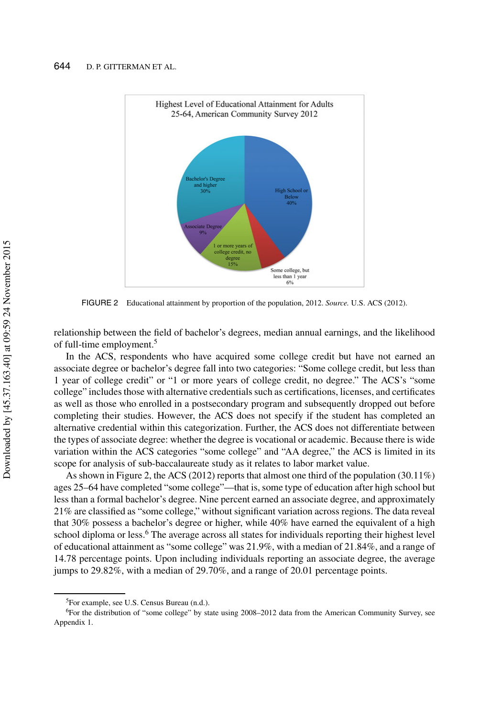

FIGURE 2 Educational attainment by proportion of the population, 2012. *Source.* U.S. ACS (2012).

relationship between the field of bachelor's degrees, median annual earnings, and the likelihood of full-time employment.<sup>5</sup>

In the ACS, respondents who have acquired some college credit but have not earned an associate degree or bachelor's degree fall into two categories: "Some college credit, but less than 1 year of college credit" or "1 or more years of college credit, no degree." The ACS's "some college" includes those with alternative credentials such as certifications, licenses, and certificates as well as those who enrolled in a postsecondary program and subsequently dropped out before completing their studies. However, the ACS does not specify if the student has completed an alternative credential within this categorization. Further, the ACS does not differentiate between the types of associate degree: whether the degree is vocational or academic. Because there is wide variation within the ACS categories "some college" and "AA degree," the ACS is limited in its scope for analysis of sub-baccalaureate study as it relates to labor market value.

As shown in Figure 2, the ACS (2012) reports that almost one third of the population (30.11%) ages 25–64 have completed "some college"—that is, some type of education after high school but less than a formal bachelor's degree. Nine percent earned an associate degree, and approximately 21% are classified as "some college," without significant variation across regions. The data reveal that 30% possess a bachelor's degree or higher, while 40% have earned the equivalent of a high school diploma or less.<sup>6</sup> The average across all states for individuals reporting their highest level of educational attainment as "some college" was 21.9%, with a median of 21.84%, and a range of 14.78 percentage points. Upon including individuals reporting an associate degree, the average jumps to 29.82%, with a median of 29.70%, and a range of 20.01 percentage points.

<sup>5</sup>For example, see U.S. Census Bureau (n.d.).

<sup>6</sup>For the distribution of "some college" by state using 2008–2012 data from the American Community Survey, see Appendix 1.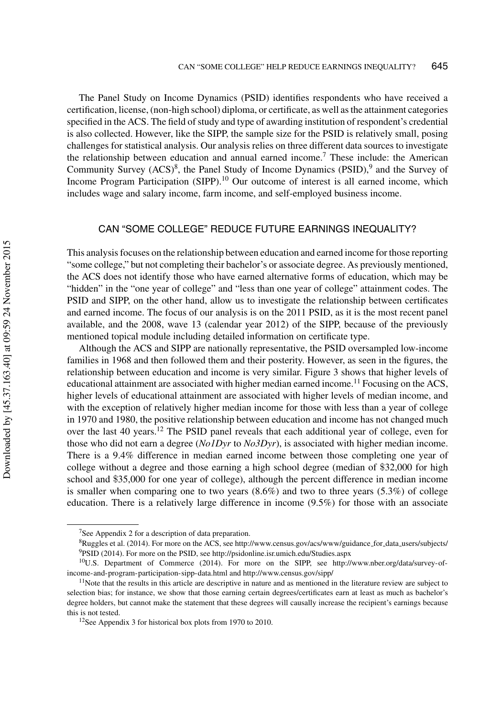The Panel Study on Income Dynamics (PSID) identifies respondents who have received a certification, license, (non-high school) diploma, or certificate, as well as the attainment categories specified in the ACS. The field of study and type of awarding institution of respondent's credential is also collected. However, like the SIPP, the sample size for the PSID is relatively small, posing challenges for statistical analysis. Our analysis relies on three different data sources to investigate the relationship between education and annual earned income.<sup>7</sup> These include: the American Community Survey  $(ACS)^8$ , the Panel Study of Income Dynamics  $(PSID)^9$  and the Survey of Income Program Participation (SIPP).<sup>10</sup> Our outcome of interest is all earned income, which includes wage and salary income, farm income, and self-employed business income.

#### CAN "SOME COLLEGE" REDUCE FUTURE EARNINGS INEQUALITY?

This analysis focuses on the relationship between education and earned income for those reporting "some college," but not completing their bachelor's or associate degree. As previously mentioned, the ACS does not identify those who have earned alternative forms of education, which may be "hidden" in the "one year of college" and "less than one year of college" attainment codes. The PSID and SIPP, on the other hand, allow us to investigate the relationship between certificates and earned income. The focus of our analysis is on the 2011 PSID, as it is the most recent panel available, and the 2008, wave 13 (calendar year 2012) of the SIPP, because of the previously mentioned topical module including detailed information on certificate type.

Although the ACS and SIPP are nationally representative, the PSID oversampled low-income families in 1968 and then followed them and their posterity. However, as seen in the figures, the relationship between education and income is very similar. Figure 3 shows that higher levels of educational attainment are associated with higher median earned income.<sup>11</sup> Focusing on the ACS, higher levels of educational attainment are associated with higher levels of median income, and with the exception of relatively higher median income for those with less than a year of college in 1970 and 1980, the positive relationship between education and income has not changed much over the last 40 years.<sup>12</sup> The PSID panel reveals that each additional year of college, even for those who did not earn a degree (*No1Dyr* to *No3Dyr*), is associated with higher median income. There is a 9.4% difference in median earned income between those completing one year of college without a degree and those earning a high school degree (median of \$32,000 for high school and \$35,000 for one year of college), although the percent difference in median income is smaller when comparing one to two years (8.6%) and two to three years (5.3%) of college education. There is a relatively large difference in income  $(9.5%)$  for those with an associate

<sup>&</sup>lt;sup>7</sup>See Appendix 2 for a description of data preparation.

<sup>8</sup>Ruggles et al. (2014). For more on the ACS, see http://www.census.gov/acs/www/guidance for data users/subjects/ 9PSID (2014). For more on the PSID, see http://psidonline.isr.umich.edu/Studies.aspx

<sup>&</sup>lt;sup>10</sup>U.S. Department of Commerce (2014). For more on the SIPP, see http://www.nber.org/data/survey-ofincome-and-program-participation-sipp-data.html and http://www.census.gov/sipp/

 $11$ Note that the results in this article are descriptive in nature and as mentioned in the literature review are subject to selection bias; for instance, we show that those earning certain degrees/certificates earn at least as much as bachelor's degree holders, but cannot make the statement that these degrees will causally increase the recipient's earnings because this is not tested.

<sup>12</sup>See Appendix 3 for historical box plots from 1970 to 2010.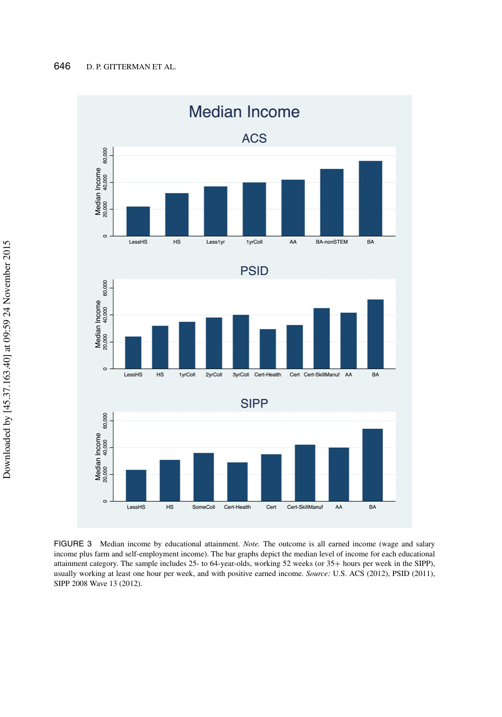

FIGURE 3 Median income by educational attainment. *Note.* The outcome is all earned income (wage and salary income plus farm and self-employment income). The bar graphs depict the median level of income for each educational attainment category. The sample includes 25- to 64-year-olds, working 52 weeks (or 35+ hours per week in the SIPP), usually working at least one hour per week, and with positive earned income. *Source:* U.S. ACS (2012), PSID (2011), SIPP 2008 Wave 13 (2012).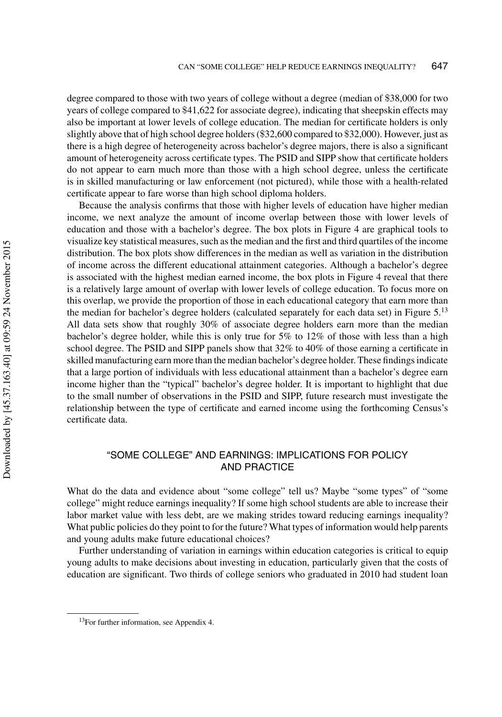degree compared to those with two years of college without a degree (median of \$38,000 for two years of college compared to \$41,622 for associate degree), indicating that sheepskin effects may also be important at lower levels of college education. The median for certificate holders is only slightly above that of high school degree holders (\$32,600 compared to \$32,000). However, just as there is a high degree of heterogeneity across bachelor's degree majors, there is also a significant amount of heterogeneity across certificate types. The PSID and SIPP show that certificate holders do not appear to earn much more than those with a high school degree, unless the certificate is in skilled manufacturing or law enforcement (not pictured), while those with a health-related certificate appear to fare worse than high school diploma holders.

Because the analysis confirms that those with higher levels of education have higher median income, we next analyze the amount of income overlap between those with lower levels of education and those with a bachelor's degree. The box plots in Figure 4 are graphical tools to visualize key statistical measures, such as the median and the first and third quartiles of the income distribution. The box plots show differences in the median as well as variation in the distribution of income across the different educational attainment categories. Although a bachelor's degree is associated with the highest median earned income, the box plots in Figure 4 reveal that there is a relatively large amount of overlap with lower levels of college education. To focus more on this overlap, we provide the proportion of those in each educational category that earn more than the median for bachelor's degree holders (calculated separately for each data set) in Figure  $5^{13}$ All data sets show that roughly 30% of associate degree holders earn more than the median bachelor's degree holder, while this is only true for 5% to 12% of those with less than a high school degree. The PSID and SIPP panels show that 32% to 40% of those earning a certificate in skilled manufacturing earn more than the median bachelor's degree holder. These findings indicate that a large portion of individuals with less educational attainment than a bachelor's degree earn income higher than the "typical" bachelor's degree holder. It is important to highlight that due to the small number of observations in the PSID and SIPP, future research must investigate the relationship between the type of certificate and earned income using the forthcoming Census's certificate data.

# "SOME COLLEGE" AND EARNINGS: IMPLICATIONS FOR POLICY AND PRACTICE

What do the data and evidence about "some college" tell us? Maybe "some types" of "some college" might reduce earnings inequality? If some high school students are able to increase their labor market value with less debt, are we making strides toward reducing earnings inequality? What public policies do they point to for the future? What types of information would help parents and young adults make future educational choices?

Further understanding of variation in earnings within education categories is critical to equip young adults to make decisions about investing in education, particularly given that the costs of education are significant. Two thirds of college seniors who graduated in 2010 had student loan

<sup>13</sup>For further information, see Appendix 4.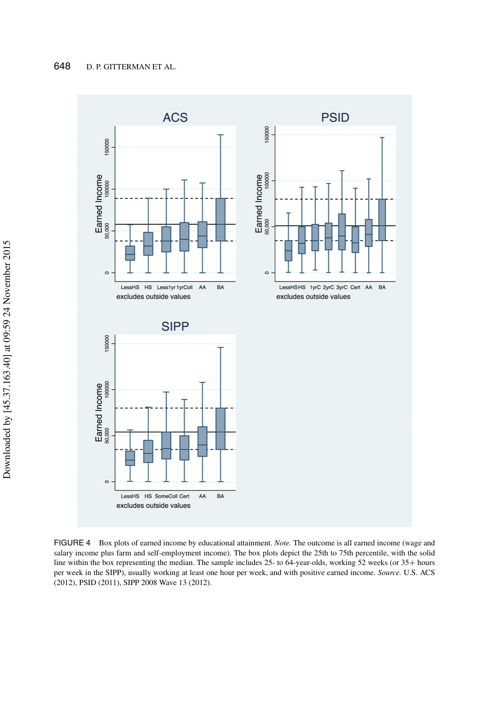

FIGURE 4 Box plots of earned income by educational attainment. *Note.* The outcome is all earned income (wage and salary income plus farm and self-employment income). The box plots depict the 25th to 75th percentile, with the solid line within the box representing the median. The sample includes 25- to 64-year-olds, working 52 weeks (or 35+ hours per week in the SIPP), usually working at least one hour per week, and with positive earned income. *Source.* U.S. ACS (2012), PSID (2011), SIPP 2008 Wave 13 (2012).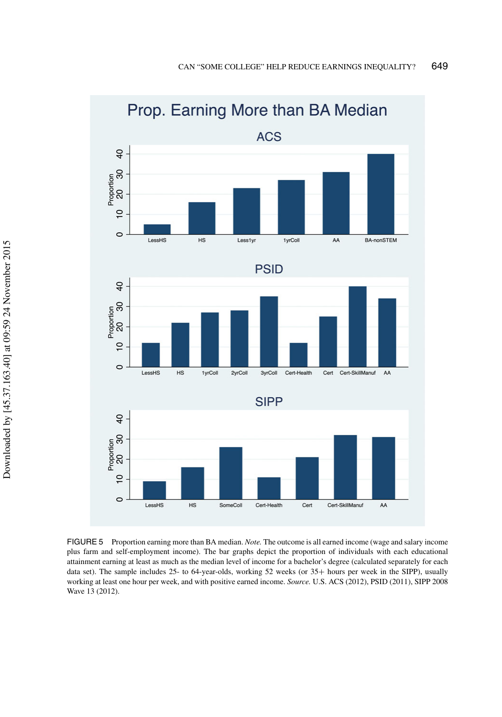

FIGURE 5 Proportion earning more than BA median. *Note.* The outcome is all earned income (wage and salary income plus farm and self-employment income). The bar graphs depict the proportion of individuals with each educational attainment earning at least as much as the median level of income for a bachelor's degree (calculated separately for each data set). The sample includes 25- to 64-year-olds, working 52 weeks (or 35+ hours per week in the SIPP), usually working at least one hour per week, and with positive earned income. *Source.* U.S. ACS (2012), PSID (2011), SIPP 2008 Wave 13 (2012).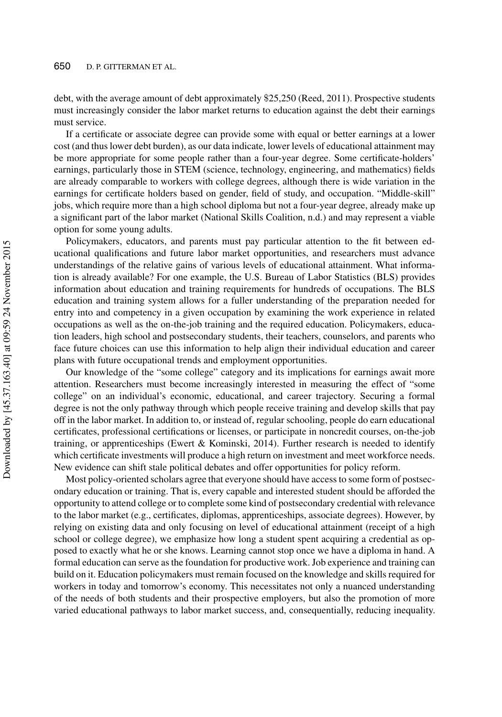debt, with the average amount of debt approximately \$25,250 (Reed, 2011). Prospective students must increasingly consider the labor market returns to education against the debt their earnings must service.

If a certificate or associate degree can provide some with equal or better earnings at a lower cost (and thus lower debt burden), as our data indicate, lower levels of educational attainment may be more appropriate for some people rather than a four-year degree. Some certificate-holders' earnings, particularly those in STEM (science, technology, engineering, and mathematics) fields are already comparable to workers with college degrees, although there is wide variation in the earnings for certificate holders based on gender, field of study, and occupation. "Middle-skill" jobs, which require more than a high school diploma but not a four-year degree, already make up a significant part of the labor market (National Skills Coalition, n.d.) and may represent a viable option for some young adults.

Policymakers, educators, and parents must pay particular attention to the fit between educational qualifications and future labor market opportunities, and researchers must advance understandings of the relative gains of various levels of educational attainment. What information is already available? For one example, the U.S. Bureau of Labor Statistics (BLS) provides information about education and training requirements for hundreds of occupations. The BLS education and training system allows for a fuller understanding of the preparation needed for entry into and competency in a given occupation by examining the work experience in related occupations as well as the on-the-job training and the required education. Policymakers, education leaders, high school and postsecondary students, their teachers, counselors, and parents who face future choices can use this information to help align their individual education and career plans with future occupational trends and employment opportunities.

Our knowledge of the "some college" category and its implications for earnings await more attention. Researchers must become increasingly interested in measuring the effect of "some college" on an individual's economic, educational, and career trajectory. Securing a formal degree is not the only pathway through which people receive training and develop skills that pay off in the labor market. In addition to, or instead of, regular schooling, people do earn educational certificates, professional certifications or licenses, or participate in noncredit courses, on-the-job training, or apprenticeships (Ewert & Kominski, 2014). Further research is needed to identify which certificate investments will produce a high return on investment and meet workforce needs. New evidence can shift stale political debates and offer opportunities for policy reform.

Most policy-oriented scholars agree that everyone should have access to some form of postsecondary education or training. That is, every capable and interested student should be afforded the opportunity to attend college or to complete some kind of postsecondary credential with relevance to the labor market (e.g., certificates, diplomas, apprenticeships, associate degrees). However, by relying on existing data and only focusing on level of educational attainment (receipt of a high school or college degree), we emphasize how long a student spent acquiring a credential as opposed to exactly what he or she knows. Learning cannot stop once we have a diploma in hand. A formal education can serve as the foundation for productive work. Job experience and training can build on it. Education policymakers must remain focused on the knowledge and skills required for workers in today and tomorrow's economy. This necessitates not only a nuanced understanding of the needs of both students and their prospective employers, but also the promotion of more varied educational pathways to labor market success, and, consequentially, reducing inequality.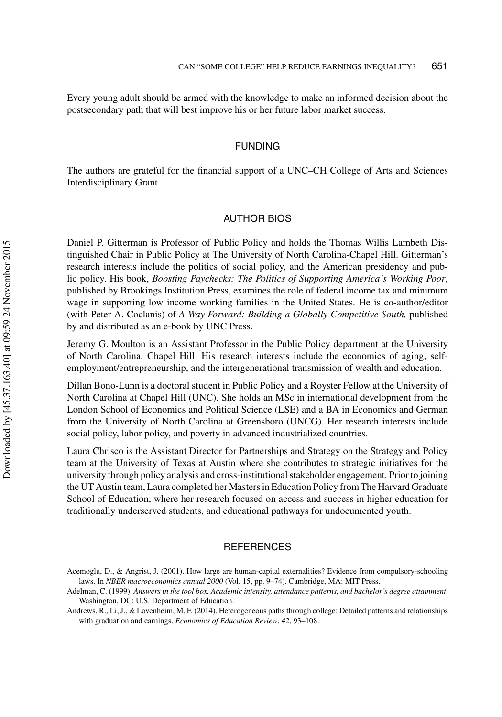Every young adult should be armed with the knowledge to make an informed decision about the postsecondary path that will best improve his or her future labor market success.

#### FUNDING

The authors are grateful for the financial support of a UNC–CH College of Arts and Sciences Interdisciplinary Grant.

# AUTHOR BIOS

Daniel P. Gitterman is Professor of Public Policy and holds the Thomas Willis Lambeth Distinguished Chair in Public Policy at The University of North Carolina-Chapel Hill. Gitterman's research interests include the politics of social policy, and the American presidency and public policy. His book, *Boosting Paychecks: The Politics of Supporting America's Working Poor*, published by Brookings Institution Press, examines the role of federal income tax and minimum wage in supporting low income working families in the United States. He is co-author/editor (with Peter A. Coclanis) of *A Way Forward: Building a Globally Competitive South,* published by and distributed as an e-book by UNC Press.

Jeremy G. Moulton is an Assistant Professor in the Public Policy department at the University of North Carolina, Chapel Hill. His research interests include the economics of aging, selfemployment/entrepreneurship, and the intergenerational transmission of wealth and education.

Dillan Bono-Lunn is a doctoral student in Public Policy and a Royster Fellow at the University of North Carolina at Chapel Hill (UNC). She holds an MSc in international development from the London School of Economics and Political Science (LSE) and a BA in Economics and German from the University of North Carolina at Greensboro (UNCG). Her research interests include social policy, labor policy, and poverty in advanced industrialized countries.

Laura Chrisco is the Assistant Director for Partnerships and Strategy on the Strategy and Policy team at the University of Texas at Austin where she contributes to strategic initiatives for the university through policy analysis and cross-institutional stakeholder engagement. Prior to joining the UT Austin team, Laura completed her Masters in Education Policy from The Harvard Graduate School of Education, where her research focused on access and success in higher education for traditionally underserved students, and educational pathways for undocumented youth.

## **REFERENCES**

Acemoglu, D., & Angrist, J. (2001). How large are human-capital externalities? Evidence from compulsory-schooling laws. In *NBER macroeconomics annual 2000* (Vol. 15, pp. 9–74). Cambridge, MA: MIT Press.

Adelman, C. (1999). *Answers in the tool box. Academic intensity, attendance patterns, and bachelor's degree attainment*. Washington, DC: U.S. Department of Education.

Andrews, R., Li, J., & Lovenheim, M. F. (2014). Heterogeneous paths through college: Detailed patterns and relationships with graduation and earnings. *Economics of Education Review*, *42*, 93–108.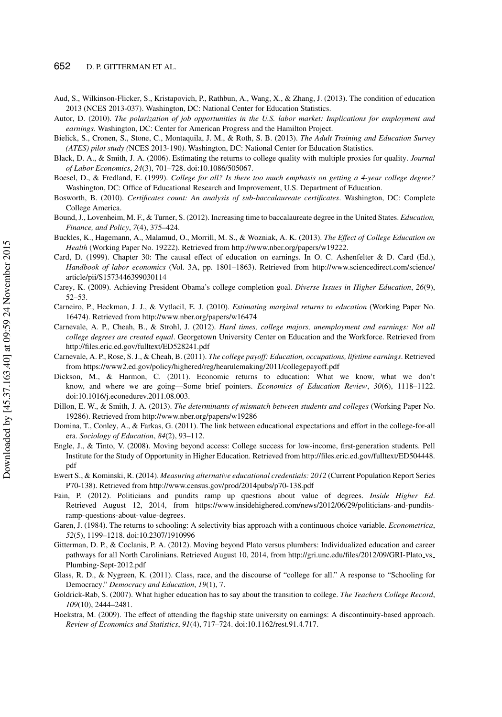#### 652 D. P. GITTERMAN ET AL.

- Aud, S., Wilkinson-Flicker, S., Kristapovich, P., Rathbun, A., Wang, X., & Zhang, J. (2013). The condition of education 2013 (NCES 2013-037). Washington, DC: National Center for Education Statistics.
- Autor, D. (2010). *The polarization of job opportunities in the U.S. labor market: Implications for employment and earnings*. Washington, DC: Center for American Progress and the Hamilton Project.
- Bielick, S., Cronen, S., Stone, C., Montaquila, J. M., & Roth, S. B. (2013). *The Adult Training and Education Survey (ATES) pilot study (*NCES 2013-190*)*. Washington, DC: National Center for Education Statistics.
- Black, D. A., & Smith, J. A. (2006). Estimating the returns to college quality with multiple proxies for quality. *Journal of Labor Economics*, *24*(3), 701–728. doi:10.1086/505067.
- Boesel, D., & Fredland, E. (1999). *College for all? Is there too much emphasis on getting a 4-year college degree?* Washington, DC: Office of Educational Research and Improvement, U.S. Department of Education.
- Bosworth, B. (2010). *Certificates count: An analysis of sub-baccalaureate certificates*. Washington, DC: Complete College America.
- Bound, J., Lovenheim, M. F., & Turner, S. (2012). Increasing time to baccalaureate degree in the United States. *Education, Finance, and Policy*, *7*(4), 375–424.
- Buckles, K., Hagemann, A., Malamud, O., Morrill, M. S., & Wozniak, A. K. (2013). *The Effect of College Education on Health* (Working Paper No. 19222). Retrieved from http://www.nber.org/papers/w19222.
- Card, D. (1999). Chapter 30: The causal effect of education on earnings. In O. C. Ashenfelter & D. Card (Ed.), *Handbook of labor economics* (Vol. 3A, pp. 1801–1863). Retrieved from http://www.sciencedirect.com/science/ article/pii/S1573446399030114
- Carey, K. (2009). Achieving President Obama's college completion goal. *Diverse Issues in Higher Education*, *26*(9), 52–53.
- Carneiro, P., Heckman, J. J., & Vytlacil, E. J. (2010). *Estimating marginal returns to education* (Working Paper No. 16474). Retrieved from http://www.nber.org/papers/w16474
- Carnevale, A. P., Cheah, B., & Strohl, J. (2012). *Hard times, college majors, unemployment and earnings: Not all college degrees are created equal*. Georgetown University Center on Education and the Workforce. Retrieved from http://files.eric.ed.gov/fulltext/ED528241.pdf
- Carnevale, A. P., Rose, S. J., & Cheah, B. (2011). *The college payoff: Education, occupations, lifetime earnings*. Retrieved from https://www2.ed.gov/policy/highered/reg/hearulemaking/2011/collegepayoff.pdf
- Dickson, M., & Harmon, C. (2011). Economic returns to education: What we know, what we don't know, and where we are going—Some brief pointers. *Economics of Education Review*, *30*(6), 1118–1122. doi:10.1016/j.econedurev.2011.08.003.
- Dillon, E. W., & Smith, J. A. (2013). *The determinants of mismatch between students and colleges* (Working Paper No. 19286). Retrieved from http://www.nber.org/papers/w19286
- Domina, T., Conley, A., & Farkas, G. (2011). The link between educational expectations and effort in the college-for-all era. *Sociology of Education*, *84*(2), 93–112.
- Engle, J., & Tinto, V. (2008). Moving beyond access: College success for low-income, first-generation students. Pell Institute for the Study of Opportunity in Higher Education. Retrieved from http://files.eric.ed.gov/fulltext/ED504448. pdf
- Ewert S., & Kominski, R. (2014). *Measuring alternative educational credentials: 2012* (Current Population Report Series P70-138). Retrieved from http://www.census.gov/prod/2014pubs/p70-138.pdf
- Fain, P. (2012). Politicians and pundits ramp up questions about value of degrees. *Inside Higher Ed*. Retrieved August 12, 2014, from https://www.insidehighered.com/news/2012/06/29/politicians-and-punditsramp-questions-about-value-degrees.
- Garen, J. (1984). The returns to schooling: A selectivity bias approach with a continuous choice variable. *Econometrica*, *52*(5), 1199–1218. doi:10.2307/1910996
- Gitterman, D. P., & Coclanis, P. A. (2012). Moving beyond Plato versus plumbers: Individualized education and career pathways for all North Carolinians. Retrieved August 10, 2014, from http://gri.unc.edu/files/2012/09/GRI-Plato\_vs\_ Plumbing-Sept-2012.pdf
- Glass, R. D., & Nygreen, K. (2011). Class, race, and the discourse of "college for all." A response to "Schooling for Democracy." *Democracy and Education*, *19*(1), 7.
- Goldrick-Rab, S. (2007). What higher education has to say about the transition to college. *The Teachers College Record*, *109*(10), 2444–2481.
- Hoekstra, M. (2009). The effect of attending the flagship state university on earnings: A discontinuity-based approach. *Review of Economics and Statistics*, *91*(4), 717–724. doi:10.1162/rest.91.4.717.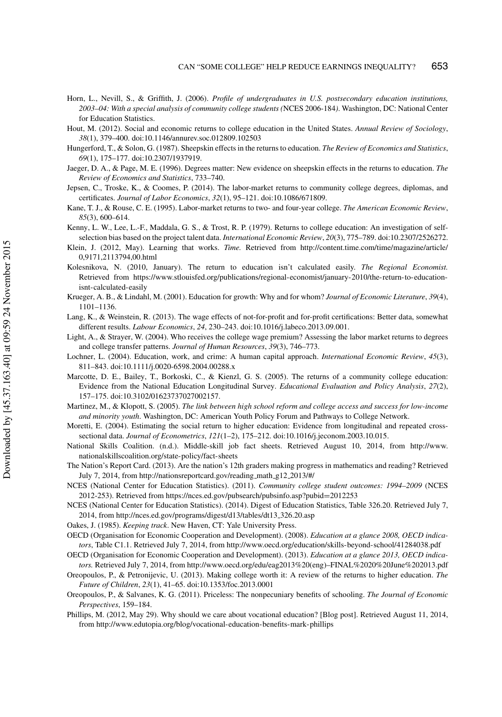- Horn, L., Nevill, S., & Griffith, J. (2006). *Profile of undergraduates in U.S. postsecondary education institutions, 2003–04: With a special analysis of community college students (*NCES 2006-184*)*. Washington, DC: National Center for Education Statistics.
- Hout, M. (2012). Social and economic returns to college education in the United States. *Annual Review of Sociology*, *38*(1), 379–400. doi:10.1146/annurev.soc.012809.102503
- Hungerford, T., & Solon, G. (1987). Sheepskin effects in the returns to education. *The Review of Economics and Statistics*, *69*(1), 175–177. doi:10.2307/1937919.
- Jaeger, D. A., & Page, M. E. (1996). Degrees matter: New evidence on sheepskin effects in the returns to education. *The Review of Economics and Statistics*, 733–740.
- Jepsen, C., Troske, K., & Coomes, P. (2014). The labor-market returns to community college degrees, diplomas, and certificates. *Journal of Labor Economics*, *32*(1), 95–121. doi:10.1086/671809.
- Kane, T. J., & Rouse, C. E. (1995). Labor-market returns to two- and four-year college. *The American Economic Review*, *85*(3), 600–614.
- Kenny, L. W., Lee, L.-F., Maddala, G. S., & Trost, R. P. (1979). Returns to college education: An investigation of selfselection bias based on the project talent data. *International Economic Review*, *20*(3), 775–789. doi:10.2307/2526272.
- Klein, J. (2012, May). Learning that works. *Time.* Retrieved from http://content.time.com/time/magazine/article/ 0,9171,2113794,00.html
- Kolesnikova, N. (2010, January). The return to education isn't calculated easily. *The Regional Economist.* Retrieved from https://www.stlouisfed.org/publications/regional-economist/january-2010/the-return-to-educationisnt-calculated-easily
- Krueger, A. B., & Lindahl, M. (2001). Education for growth: Why and for whom? *Journal of Economic Literature*, *39*(4), 1101–1136.
- Lang, K., & Weinstein, R. (2013). The wage effects of not-for-profit and for-profit certifications: Better data, somewhat different results. *Labour Economics*, *24*, 230–243. doi:10.1016/j.labeco.2013.09.001.
- Light, A., & Strayer, W. (2004). Who receives the college wage premium? Assessing the labor market returns to degrees and college transfer patterns. *Journal of Human Resources*, *39*(3), 746–773.
- Lochner, L. (2004). Education, work, and crime: A human capital approach. *International Economic Review*, *45*(3), 811–843. doi:10.1111/j.0020-6598.2004.00288.x
- Marcotte, D. E., Bailey, T., Borkoski, C., & Kienzl, G. S. (2005). The returns of a community college education: Evidence from the National Education Longitudinal Survey. *Educational Evaluation and Policy Analysis*, *27*(2), 157–175. doi:10.3102/01623737027002157.
- Martinez, M., & Klopott, S. (2005). *The link between high school reform and college access and success for low-income and minority youth*. Washington, DC: American Youth Policy Forum and Pathways to College Network.
- Moretti, E. (2004). Estimating the social return to higher education: Evidence from longitudinal and repeated crosssectional data. *Journal of Econometrics*, *121*(1–2), 175–212. doi:10.1016/j.jeconom.2003.10.015.
- National Skills Coalition. (n.d.). Middle-skill job fact sheets. Retrieved August 10, 2014, from http://www. nationalskillscoalition.org/state-policy/fact-sheets
- The Nation's Report Card. (2013). Are the nation's 12th graders making progress in mathematics and reading? Retrieved July 7, 2014, from http://nationsreportcard.gov/reading math g12 2013/#/
- NCES (National Center for Education Statistics). (2011). *Community college student outcomes: 1994–2009* (NCES 2012-253). Retrieved from https://nces.ed.gov/pubsearch/pubsinfo.asp?pubid=2012253
- NCES (National Center for Education Statistics). (2014). Digest of Education Statistics, Table 326.20. Retrieved July 7, 2014, from http://nces.ed.gov/programs/digest/d13/tables/dt13 326.20.asp
- Oakes, J. (1985). *Keeping track*. New Haven, CT: Yale University Press.
- OECD (Organisation for Economic Cooperation and Development). (2008). *Education at a glance 2008, OECD indicators*, Table C1.1. Retrieved July 7, 2014, from http://www.oecd.org/education/skills-beyond-school/41284038.pdf
- OECD (Organisation for Economic Cooperation and Development). (2013). *Education at a glance 2013, OECD indicators.* Retrieved July 7, 2014, from http://www.oecd.org/edu/eag2013%20(eng)–FINAL%2020%20June%202013.pdf
- Oreopoulos, P., & Petronijevic, U. (2013). Making college worth it: A review of the returns to higher education. *The Future of Children*, *23*(1), 41–65. doi:10.1353/foc.2013.0001
- Oreopoulos, P., & Salvanes, K. G. (2011). Priceless: The nonpecuniary benefits of schooling. *The Journal of Economic Perspectives*, 159–184.
- Phillips, M. (2012, May 29). Why should we care about vocational education? [Blog post]. Retrieved August 11, 2014, from http://www.edutopia.org/blog/vocational-education-benefits-mark-phillips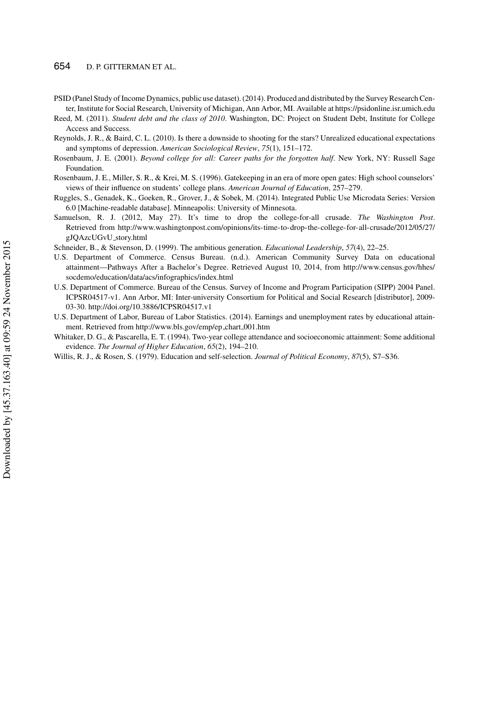#### 654 D. P. GITTERMAN ET AL.

- PSID (Panel Study of Income Dynamics, public use dataset). (2014). Produced and distributed by the Survey Research Center, Institute for Social Research, University of Michigan, Ann Arbor, MI. Available at https://psidonline.isr.umich.edu
- Reed, M. (2011). *Student debt and the class of 2010*. Washington, DC: Project on Student Debt, Institute for College Access and Success.
- Reynolds, J. R., & Baird, C. L. (2010). Is there a downside to shooting for the stars? Unrealized educational expectations and symptoms of depression. *American Sociological Review*, *75*(1), 151–172.
- Rosenbaum, J. E. (2001). *Beyond college for all: Career paths for the forgotten half*. New York, NY: Russell Sage Foundation.
- Rosenbaum, J. E., Miller, S. R., & Krei, M. S. (1996). Gatekeeping in an era of more open gates: High school counselors' views of their influence on students' college plans. *American Journal of Education*, 257–279.
- Ruggles, S., Genadek, K., Goeken, R., Grover, J., & Sobek, M. (2014). Integrated Public Use Microdata Series: Version 6.0 [Machine-readable database]. Minneapolis: University of Minnesota.
- Samuelson, R. J. (2012, May 27). It's time to drop the college-for-all crusade. *The Washington Post*. Retrieved from http://www.washingtonpost.com/opinions/its-time-to-drop-the-college-for-all-crusade/2012/05/27/ gJQAzcUGvU story.html
- Schneider, B., & Stevenson, D. (1999). The ambitious generation. *Educational Leadership*, *57*(4), 22–25.
- U.S. Department of Commerce. Census Bureau. (n.d.). American Community Survey Data on educational attainment—Pathways After a Bachelor's Degree. Retrieved August 10, 2014, from http://www.census.gov/hhes/ socdemo/education/data/acs/infographics/index.html
- U.S. Department of Commerce. Bureau of the Census. Survey of Income and Program Participation (SIPP) 2004 Panel. ICPSR04517-v1. Ann Arbor, MI: Inter-university Consortium for Political and Social Research [distributor], 2009- 03-30. http://doi.org/10.3886/ICPSR04517.v1
- U.S. Department of Labor, Bureau of Labor Statistics. (2014). Earnings and unemployment rates by educational attainment. Retrieved from http://www.bls.gov/emp/ep\_chart\_001.htm
- Whitaker, D. G., & Pascarella, E. T. (1994). Two-year college attendance and socioeconomic attainment: Some additional evidence. *The Journal of Higher Education*, *65*(2), 194–210.
- Willis, R. J., & Rosen, S. (1979). Education and self-selection. *Journal of Political Economy*, *87*(5), S7–S36.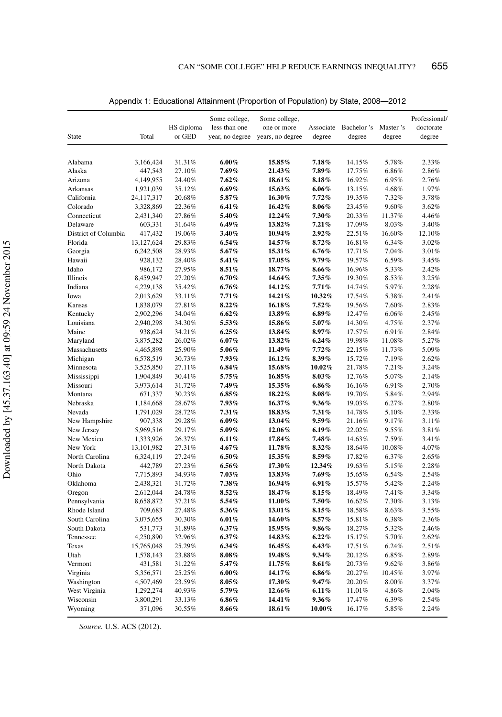|                      |              | HS diploma | Some college,<br>less than one | Some college,<br>one or more | Associate | Bachelor's | Master's | Professional/<br>doctorate |
|----------------------|--------------|------------|--------------------------------|------------------------------|-----------|------------|----------|----------------------------|
| <b>State</b>         | Total        | or GED     | year, no degree                | years, no degree             | degree    | degree     | degree   | degree                     |
|                      |              |            |                                |                              |           |            |          |                            |
| Alabama              | 3,166,424    | 31.31%     | $6.00\%$                       | 15.85%                       | 7.18%     | 14.15%     | 5.78%    | 2.33%                      |
| Alaska               | 447,543      | 27.10%     | $7.69\%$                       | 21.43%                       | $7.89\%$  | 17.75%     | 6.86%    | 2.86%                      |
| Arizona              | 4,149,955    | 24.40%     | $7.62\%$                       | 18.61%                       | $8.18\%$  | 16.92%     | 6.95%    | 2.76%                      |
| Arkansas             | 1,921,039    | 35.12%     | $6.69\,\%$                     | 15.63%                       | $6.06\%$  | 13.15%     | 4.68%    | 1.97%                      |
| California           | 24,117,317   | 20.68%     | 5.87%                          | 16.30%                       | 7.72%     | 19.35%     | 7.32%    | 3.78%                      |
| Colorado             | 3,328,869    | 22.36%     | 6.41%                          | 16.42%                       | $8.06\%$  | 23.45%     | 9.60%    | 3.62%                      |
| Connecticut          | 2,431,340    | 27.86%     | 5.40%                          | 12.24%                       | $7.30\%$  | 20.33%     | 11.37%   | 4.46%                      |
| Delaware             | 603,331      | 31.64%     | $6.49\%$                       | 13.82%                       | 7.21%     | 17.09%     | 8.03%    | 3.40%                      |
| District of Columbia | 417,432      | 19.06%     | 3.40%                          | 10.94%                       | $2.92\%$  | 22.51%     | 16.60%   | 12.10%                     |
| Florida              | 13, 127, 624 | 29.83%     | $6.54\%$                       | 14.57%                       | 8.72%     | 16.81%     | 6.34%    | 3.02%                      |
| Georgia              | 6,242,508    | 28.93%     | 5.67%                          | 15.31%                       | $6.76\%$  | 17.71%     | 7.04%    | 3.01%                      |
| Hawaii               | 928,132      | 28.40%     | 5.41%                          | 17.05%                       | $9.79\%$  | 19.57%     | 6.59%    | 3.45%                      |
| Idaho                | 986,172      | 27.95%     | 8.51%                          | 18.77%                       | $8.66\%$  | 16.96%     | 5.33%    | 2.42%                      |
| Illinois             | 8,459,947    | 27.20%     | $6.70\%$                       | 14.64%                       | $7.35\%$  | 19.30%     | 8.53%    | 3.25%                      |
| Indiana              | 4,229,138    | 35.42%     | $6.76\%$                       | 14.12%                       | 7.71%     | 14.74%     | 5.97%    | 2.28%                      |
| Iowa                 | 2,013,629    | 33.11%     | 7.71%                          | 14.21%                       | $10.32\%$ | 17.54%     | 5.38%    | 2.41%                      |
| Kansas               | 1,838,079    | 27.81%     | 8.22%                          | 16.18%                       | $7.52\%$  | 19.56%     | 7.60%    | 2.83%                      |
| Kentucky             | 2,902,296    | 34.04%     | $6.62\%$                       | 13.89%                       | $6.89\%$  | 12.47%     | $6.06\%$ | 2.45%                      |
| Louisiana            | 2,940,298    | 34.30%     | 5.53%                          | 15.86%                       | $5.07\%$  | 14.30%     | 4.75%    | 2.37%                      |
| Maine                | 938,624      | 34.21%     | 6.25%                          | 13.84%                       | $8.97\%$  | 17.57%     | 6.91%    | 2.84%                      |
| Maryland             | 3,875,282    | 26.02%     | $6.07\%$                       | 13.82%                       | $6.24\%$  | 19.98%     | 11.08%   | 5.27%                      |
| Massachusetts        | 4,465,898    | 25.90%     | 5.06%                          | 11.49%                       | 7.72%     | 22.15%     | 11.73%   | 5.09%                      |
| Michigan             | 6,578,519    | 30.73%     | $7.93\%$                       | 16.12%                       | $8.39\%$  | 15.72%     | 7.19%    | 2.62%                      |
| Minnesota            | 3,525,850    | 27.11%     | $6.84\%$                       | 15.68%                       | $10.02\%$ | 21.78%     | 7.21%    | 3.24%                      |
| Mississippi          | 1,904,849    | 30.41%     | 5.75%                          | 16.85%                       | $8.03\%$  | 12.76%     | 5.07%    | 2.14%                      |
| Missouri             | 3,973,614    | 31.72%     | $7.49\%$                       | 15.35%                       | $6.86\%$  | 16.16%     | 6.91%    | 2.70%                      |
| Montana              | 671,337      | 30.23%     | $6.85\%$                       | 18.22%                       | $8.08\%$  | 19.70%     | 5.84%    | 2.94%                      |
| Nebraska             | 1,184,668    | 28.67%     | $7.93\%$                       | 16.37%                       | $9.36\%$  | 19.03%     | 6.27%    | 2.80%                      |
| Nevada               | 1,791,029    | 28.72%     | 7.31%                          | 18.83%                       | 7.31%     | 14.78%     | 5.10%    | 2.33%                      |
| New Hampshire        | 907,338      | 29.28%     | $6.09\%$                       | 13.04%                       | $9.59\%$  | 21.16%     | 9.17%    | 3.11%                      |
| New Jersey           | 5,969,516    | 29.17%     | $5.09\%$                       | 12.06%                       | $6.19\%$  | 22.02%     | 9.55%    | 3.81%                      |
| New Mexico           | 1,333,926    | 26.37%     | 6.11%                          | 17.84%                       | $7.48\%$  | 14.63%     | 7.59%    | 3.41%                      |
| New York             | 13, 101, 982 | 27.31%     | $4.67\%$                       | 11.78%                       | $8.32\%$  | 18.64%     | 10.08%   | 4.07%                      |
| North Carolina       | 6,324,119    | 27.24%     | $6.50\%$                       | 15.35%                       | $8.59\%$  | 17.82%     | 6.37%    | 2.65%                      |
| North Dakota         | 442,789      | 27.23%     | $6.56\%$                       | 17.30%                       | $12.34\%$ | 19.63%     | 5.15%    | 2.28%                      |
| Ohio                 | 7,715,893    | 34.93%     | $7.03\%$                       | 13.83%                       | $7.69\%$  | 15.65%     | 6.54%    | 2.54%                      |
| Oklahoma             | 2,438,321    | 31.72%     | $7.38\%$                       | 16.94%                       | $6.91\%$  | 15.57%     | 5.42%    | 2.24%                      |
| Oregon               | 2,612,044    | 24.78%     | 8.52%                          | 18.47%                       | $8.15\%$  | 18.49%     | 7.41%    | 3.34%                      |
| Pennsylvania         | 8,658,872    | 37.21%     | $5.54\%$                       | 11.00%                       | $7.50\%$  | 16.62%     | 7.30%    | 3.13%                      |
| Rhode Island         | 709,683      | 27.48%     | 5.36%                          | 13.01%                       | $8.15\%$  | 18.58%     | 8.63%    | 3.55%                      |
| South Carolina       | 3,075,655    | 30.30%     | 6.01%                          | 14.60%                       | $8.57\%$  | 15.81%     | 6.38%    | 2.36%                      |
| South Dakota         | 531,773      | 31.89%     | 6.37%                          | 15.95%                       | $9.86\%$  | 18.27%     | 5.32%    | 2.46%                      |
| Tennessee            | 4,250,890    | 32.96%     | 6.37%                          | 14.83%                       | $6.22\%$  | 15.17%     | 5.70%    | 2.62%                      |
| Texas                | 15,765,048   | 25.29%     | 6.34%                          | 16.45%                       | $6.43\%$  | 17.51%     | 6.24%    | 2.51%                      |
| Utah                 | 1,578,143    | 23.88%     | $8.08\%$                       | 19.48%                       | 9.34%     | 20.12%     | 6.85%    | 2.89%                      |
| Vermont              | 431,581      | 31.22%     | 5.47%                          | 11.75%                       | $8.61\%$  | 20.73%     | 9.62%    | 3.86%                      |
| Virginia             | 5,356,571    | 25.25%     | $6.00\%$                       | 14.17%                       | $6.86\%$  | 20.27%     | 10.45%   | 3.97%                      |
| Washington           | 4,507,469    | 23.59%     | $8.05\%$                       | 17.30%                       | 9.47%     | 20.20%     | 8.00%    | 3.37%                      |
| West Virginia        | 1,292,274    | 40.93%     | 5.79%                          | 12.66%                       | 6.11%     | 11.01%     | 4.86%    | 2.04%                      |
| Wisconsin            | 3,800,291    | 33.13%     | $6.86\%$                       | 14.41%                       | $9.36\%$  | 17.47%     | $6.39\%$ | 2.54%                      |
| Wyoming              | 371,096      | 30.55%     | 8.66%                          | 18.61%                       | $10.00\%$ | 16.17%     | 5.85%    | 2.24%                      |

| Appendix 1: Educational Attainment (Proportion of Population) by State, 2008-2012 |  |  |  |
|-----------------------------------------------------------------------------------|--|--|--|
|                                                                                   |  |  |  |

*Source.* U.S. ACS (2012).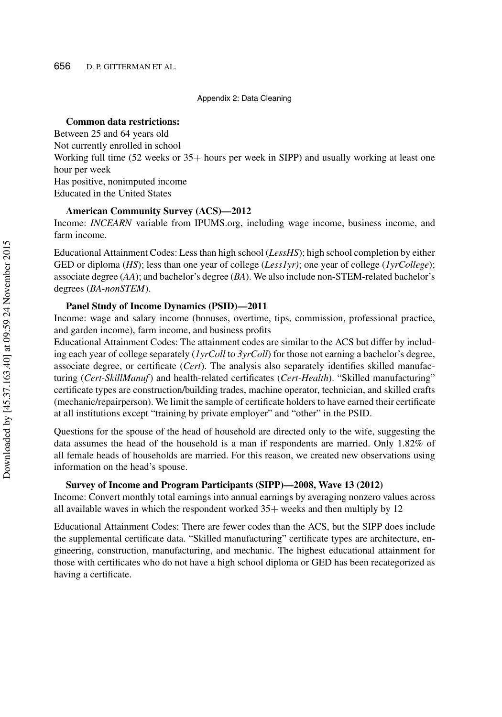#### Appendix 2: Data Cleaning

## **Common data restrictions:**

Between 25 and 64 years old Not currently enrolled in school Working full time (52 weeks or 35+ hours per week in SIPP) and usually working at least one hour per week Has positive, nonimputed income Educated in the United States

#### **American Community Survey (ACS)—2012**

Income: *INCEARN* variable from IPUMS.org, including wage income, business income, and farm income.

Educational Attainment Codes: Less than high school (*LessHS*); high school completion by either GED or diploma (*HS*); less than one year of college (*Less1yr)*; one year of college (*1yrCollege*); associate degree (*AA*); and bachelor's degree (*BA*). We also include non-STEM-related bachelor's degrees (*BA-nonSTEM*).

#### **Panel Study of Income Dynamics (PSID)—2011**

Income: wage and salary income (bonuses, overtime, tips, commission, professional practice, and garden income), farm income, and business profits

Educational Attainment Codes: The attainment codes are similar to the ACS but differ by including each year of college separately (*1yrColl* to *3yrColl*) for those not earning a bachelor's degree, associate degree, or certificate (*Cert*). The analysis also separately identifies skilled manufacturing (*Cert-SkillManuf*) and health-related certificates (*Cert-Health*). "Skilled manufacturing" certificate types are construction/building trades, machine operator, technician, and skilled crafts (mechanic/repairperson). We limit the sample of certificate holders to have earned their certificate at all institutions except "training by private employer" and "other" in the PSID.

Questions for the spouse of the head of household are directed only to the wife, suggesting the data assumes the head of the household is a man if respondents are married. Only 1.82% of all female heads of households are married. For this reason, we created new observations using information on the head's spouse.

#### **Survey of Income and Program Participants (SIPP)—2008, Wave 13 (2012)**

Income: Convert monthly total earnings into annual earnings by averaging nonzero values across all available waves in which the respondent worked 35+ weeks and then multiply by 12

Educational Attainment Codes: There are fewer codes than the ACS, but the SIPP does include the supplemental certificate data. "Skilled manufacturing" certificate types are architecture, engineering, construction, manufacturing, and mechanic. The highest educational attainment for those with certificates who do not have a high school diploma or GED has been recategorized as having a certificate.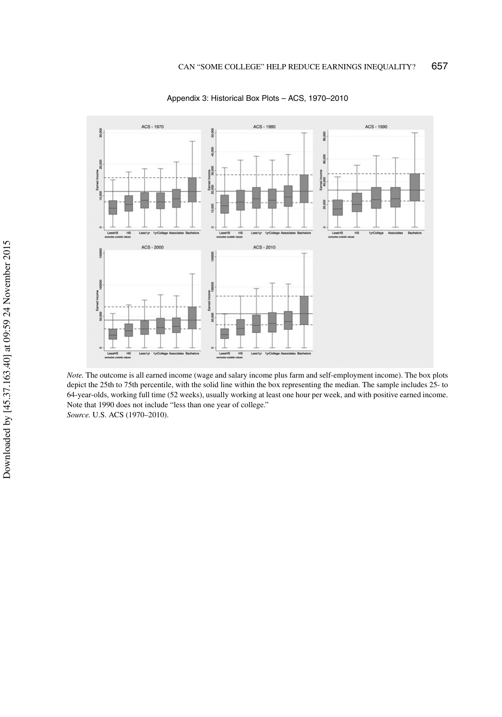

Appendix 3: Historical Box Plots – ACS, 1970–2010

*Note.* The outcome is all earned income (wage and salary income plus farm and self-employment income). The box plots depict the 25th to 75th percentile, with the solid line within the box representing the median. The sample includes 25- to 64-year-olds, working full time (52 weeks), usually working at least one hour per week, and with positive earned income. Note that 1990 does not include "less than one year of college." *Source.* U.S. ACS (1970–2010).